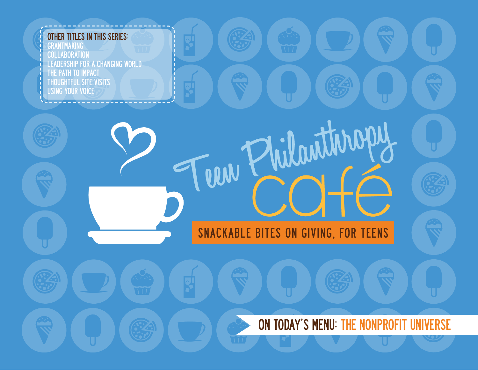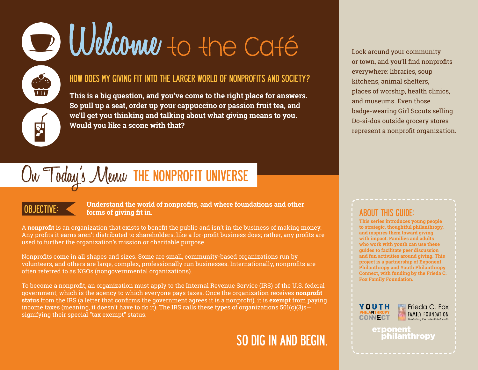# D Welcome to the Café

#### HOW DOES MY GIVING FIT INTO THE LARGER WORLD OF NONPROFITS AND SOCIETY?

**This is a big question, and you've come to the right place for answers. So pull up a seat, order up your cappuccino or passion fruit tea, and we'll get you thinking and talking about what giving means to you. Would you like a scone with that?**

## On Today's Menu THE NONPROFIT UNIVERSE

**TTT** 

#### OBJECTIVE: **Understand the world of nonprofits, and where foundations and other forms of giving fit in.**

A **nonprofit** is an organization that exists to benefit the public and isn't in the business of making money. Any profits it earns aren't distributed to shareholders, like a for-profit business does; rather, any profits are used to further the organization's mission or charitable purpose.

Nonprofits come in all shapes and sizes. Some are small, community-based organizations run by volunteers, and others are large, complex, professionally run businesses. Internationally, nonprofits are often referred to as NGOs (nongovernmental organizations).

To become a nonprofit, an organization must apply to the Internal Revenue Service (IRS) of the U.S. federal government, which is the agency to which everyone pays taxes. Once the organization receives **nonprofit status** from the IRS (a letter that confirms the government agrees it is a nonprofit), it is **exempt** from paying income taxes (meaning, it doesn't have to do it). The IRS calls these types of organizations  $501(c)(3)s$ signifying their special "tax exempt" status.

## SO DIG IN AND BEGIN.

Look around your community or town, and you'll find nonprofits everywhere: libraries, soup kitchens, animal shelters, places of worship, health clinics, and museums. Even those badge-wearing Girl Scouts selling Do-si-dos outside grocery stores represent a nonprofit organization.

### ABOUT THIS GUIDE:

**This series introduces young people to strategic, thoughtful philanthropy, and inspires them toward giving with impact. Families and adults who work with youth can use these guides to facilitate peer discussion and fun activities around giving. This project is a partnership of Exponent Philanthropy and Youth Philanthropy Connect, with funding by the Frieda C. Fox Family Foundation.**





exponent philanthropy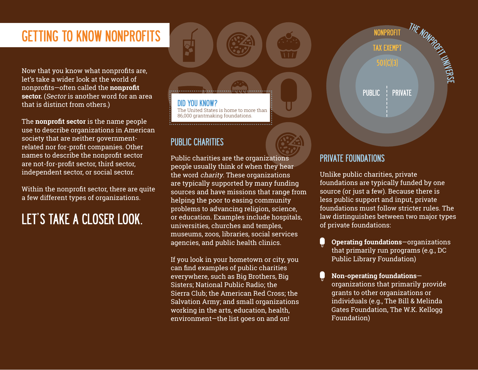## GETTING TO KNOW NONPROFITS A CONSTRUCTION ON PROFITS

Now that you know what nonprofits are, let's take a wider look at the world of nonprofits—often called the **nonprofit sector.** (Sector is another word for an area that is distinct from others.)

The **nonprofit sector** is the name people use to describe organizations in American society that are neither governmentrelated nor for-profit companies. Other names to describe the nonprofit sector are not-for-profit sector, third sector, independent sector, or social sector.

Within the nonprofit sector, there are quite a few different types of organizations.

## LET'S TAKE A CLOSER LOOK.

DID YOU KNOW? The United States is home to more than 86,000 grantmaking foundations.

### PUBLIC CHARITIES

Public charities are the organizations people usually think of when they hear the word charity. These organizations are typically supported by many funding sources and have missions that range from helping the poor to easing community problems to advancing religion, science, or education. Examples include hospitals, universities, churches and temples, museums, zoos, libraries, social services agencies, and public health clinics.

If you look in your hometown or city, you can find examples of public charities everywhere, such as Big Brothers, Big Sisters; National Public Radio; the Sierra Club; the American Red Cross; the Salvation Army; and small organizations working in the arts, education, health, environment—the list goes on and on!



#### PRIVATE FOUNDATIONS

Unlike public charities, private foundations are typically funded by one source (or just a few). Because there is less public support and input, private foundations must follow stricter rules. The law distinguishes between two major types of private foundations:

- O **Operating foundations**—organizations that primarily run programs (e.g., DC Public Library Foundation)
- **Non-operating foundations** organizations that primarily provide grants to other organizations or individuals (e.g., The Bill & Melinda Gates Foundation, The W.K. Kellogg Foundation)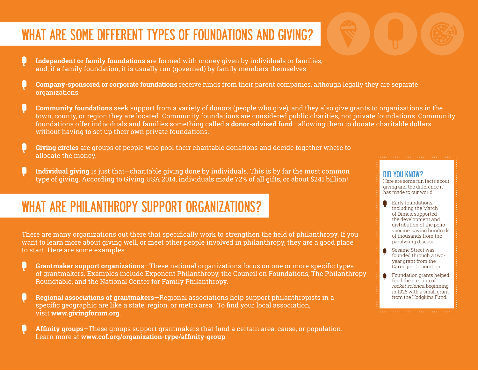## WHAT ARE SOME DIFFERENT TYPES OF FOUNDATIONS AND GIVING?

- **Independent or family foundations** are formed with money given by individuals or families, and, if a family foundation, it is usually run (governed) by family members themselves.
- **Company-sponsored or corporate foundations** receive funds from their parent companies, although legally they are separate organizations.
- **Community foundations** seek support from a variety of donors (people who give), and they also give grants to organizations in the town, county, or region they are located. Community foundations are considered public charities, not private foundations. Community foundations offer individuals and families something called a **donor-advised fund**—allowing them to donate charitable dollars without having to set up their own private foundations.
- **Giving circles** are groups of people who pool their charitable donations and decide together where to allocate the money.
- **Individual giving** is just that—charitable giving done by individuals. This is by far the most common type of giving. According to Giving USA 2014, individuals made 72% of all gifts, or about \$241 billion!

## WHAT ARE PHILANTHROPY SUPPORT ORGANIZATIONS?

There are many organizations out there that specifically work to strengthen the field of philanthropy. If you want to learn more about giving well, or meet other people involved in philanthropy, they are a good place to start. Here are some examples:

- **Grantmaker support organizations**—These national organizations focus on one or more specific types of grantmakers. Examples include Exponent Philanthropy, the Council on Foundations, The Philanthropy Roundtable, and the National Center for Family Philanthropy.
- **Regional associations of grantmakers**—Regional associations help support philanthropists in a specific geographic are like a state, region, or metro area. To find your local association, visit **<www.givingforum.org>**.
- **Affinity groups**—These groups support grantmakers that fund a certain area, cause, or population. Learn more at **<www.cof.org/organization-type/affinity-group>**.

#### DID YOU KNOW?

Here are some fun facts about giving and the difference it has made to our world:

- Early foundations, including the March of Dimes, supported the development and distribution of the polio vaccine, saving hundreds of thousands from the paralyzing disease.
- Sesame Street was founded through a twoyear grant from the Carnegie Corporation.
- **Foundation grants helped** fund the creation of rocket science, beginning in 1926 with a small grant from the Hodakins Fund.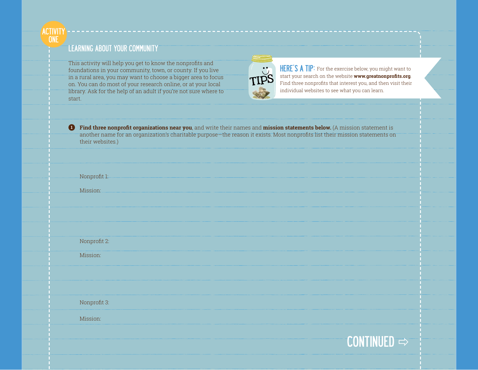

#### LEARNING ABOUT YOUR COMMUNITY

This activity will help you get to know the nonprofits and foundations in your community, town, or county. If you live in a rural area, you may want to choose a bigger area to focus on. You can do most of your research online, or at your local library. Ask for the help of an adult if you're not sure where to start.



HERE'S A TIP: For the exercise below, you might want to start your search on the website **[www.greatnonprofits.org](http://www.greatnonprofits.org)**. Find three nonprofits that interest you, and then visit their individual websites to see what you can learn.

**1 Find three nonprofit organizations near you**, and write their names and **mission statements below.** (A mission statement is another name for an organization's charitable purpose—the reason it exists. Most nonprofits list their mission statements on their websites.)

Nonprofit 1:

Mission:

Nonprofit 2:

Mission:

Nonprofit 3:

Mission:

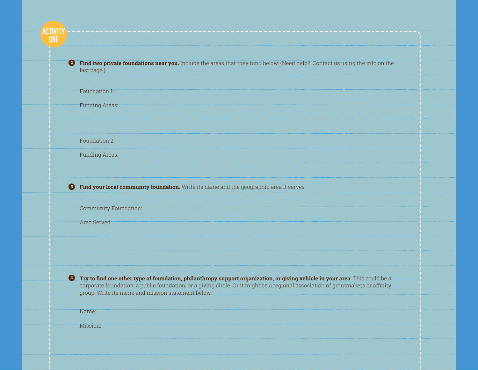**ACTIVITY ONE** 

> **2 Find two private foundations near you.** Include the areas that they fund below. (Need help? Contact us using the info on the last page!)

Foundation 1:

Funding Areas:

Foundation 2:

Funding Areas:

**3 Find your local community foundation.** Write its name and the geographic area it serves.

Community Foundation:

Area Served:

**4** Try to find one other type of foundation, philanthropy support organization, or giving vehicle in your area. This could be a corporate foundation, a public foundation, or a giving circle. Or it might be a regional association of grantmakers or affinity group. Write its name and mission statement below.

Name:

Mission: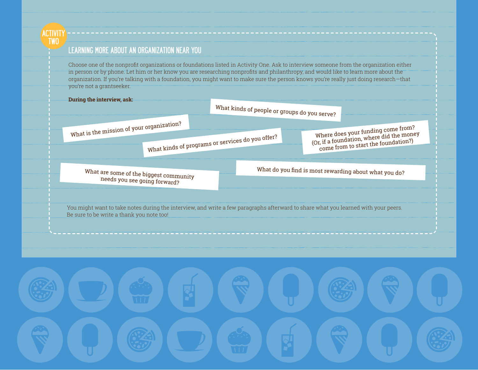ACTIVITY TWO

#### LEARNING MORE ABOUT AN ORGANIZATION NEAR YOU

Choose one of the nonprofit organizations or foundations listed in Activity One. Ask to interview someone from the organization either in person or by phone. Let him or her know you are researching nonprofits and philanthropy, and would like to learn more about the organization. If you're talking with a foundation, you might want to make sure the person knows you're really just doing research—that you're not a grantseeker.

| During the interview, ask:                                             | What kinds of people or groups do you serve?     |                                                                                                                                    |
|------------------------------------------------------------------------|--------------------------------------------------|------------------------------------------------------------------------------------------------------------------------------------|
| What is the mission of your organization?                              | What kinds of programs or services do you offer? | Where does your funding come from?<br>(Or, if a foundation, where did the money<br>come from to start the foundation?)             |
| What are some of the biggest community<br>needs you see going forward? |                                                  | What do you find is most rewarding about what you do?                                                                              |
| Be sure to be write a thank you note too!                              |                                                  | You might want to take notes during the interview, and write a few paragraphs afterward to share what you learned with your peers. |
|                                                                        |                                                  |                                                                                                                                    |